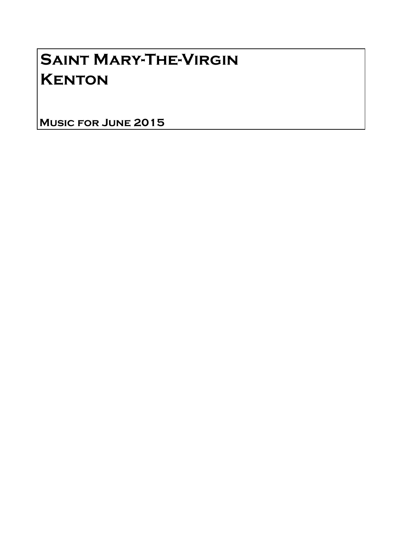## Saint Mary-The-Virgin **KENTON**

Music for June 2015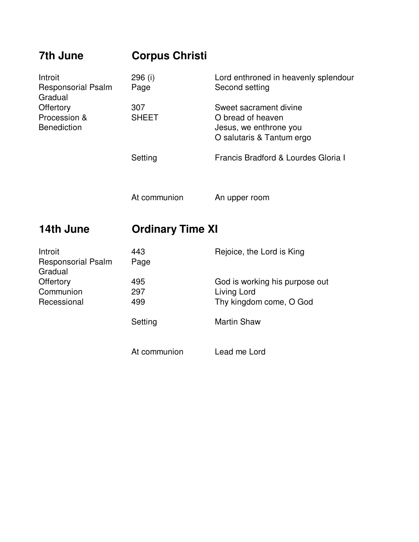| 7th June                                                                                           | <b>Corpus Christi</b>   |                                                                                                    |
|----------------------------------------------------------------------------------------------------|-------------------------|----------------------------------------------------------------------------------------------------|
| Introit<br><b>Responsorial Psalm</b><br>Gradual<br>Offertory<br>Procession &<br><b>Benediction</b> | 296 (i)<br>Page         | Lord enthroned in heavenly splendour<br>Second setting                                             |
|                                                                                                    | 307<br><b>SHEET</b>     | Sweet sacrament divine<br>O bread of heaven<br>Jesus, we enthrone you<br>O salutaris & Tantum ergo |
|                                                                                                    | Setting                 | Francis Bradford & Lourdes Gloria I                                                                |
|                                                                                                    | At communion            | An upper room                                                                                      |
|                                                                                                    |                         |                                                                                                    |
| 14th June                                                                                          | <b>Ordinary Time XI</b> |                                                                                                    |
| Introit<br><b>Responsorial Psalm</b>                                                               | 443<br>Page             | Rejoice, the Lord is King                                                                          |
| Gradual<br>Offertory                                                                               | 495                     | God is working his purpose out                                                                     |
| Communion                                                                                          | 297                     | Living Lord                                                                                        |
| Recessional                                                                                        | 499                     | Thy kingdom come, O God                                                                            |
|                                                                                                    | Setting                 | <b>Martin Shaw</b>                                                                                 |
|                                                                                                    | At communion            | Lead me Lord                                                                                       |